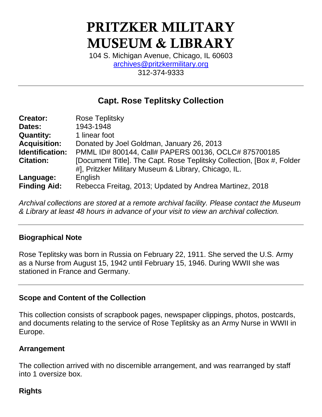# PRITZKER MILITARY MUSEUM & LIBRARY

104 S. Michigan Avenue, Chicago, IL 60603 [archives@pritzkermilitary.org](mailto:archives@pritzkermilitary.org) 312-374-9333

# **Capt. Rose Teplitsky Collection**

| <b>Creator:</b>     | Rose Teplitsky                                                         |
|---------------------|------------------------------------------------------------------------|
| Dates:              | 1943-1948                                                              |
| <b>Quantity:</b>    | 1 linear foot                                                          |
| <b>Acquisition:</b> | Donated by Joel Goldman, January 26, 2013                              |
| Identification:     | PMML ID# 800144, Call# PAPERS 00136, OCLC# 875700185                   |
| <b>Citation:</b>    | [Document Title]. The Capt. Rose Teplitsky Collection, [Box #, Folder] |
|                     | #], Pritzker Military Museum & Library, Chicago, IL.                   |
| Language:           | English                                                                |
| <b>Finding Aid:</b> | Rebecca Freitag, 2013; Updated by Andrea Martinez, 2018                |

*Archival collections are stored at a remote archival facility. Please contact the Museum & Library at least 48 hours in advance of your visit to view an archival collection.*

#### **Biographical Note**

Rose Teplitsky was born in Russia on February 22, 1911. She served the U.S. Army as a Nurse from August 15, 1942 until February 15, 1946. During WWII she was stationed in France and Germany.

#### **Scope and Content of the Collection**

This collection consists of scrapbook pages, newspaper clippings, photos, postcards, and documents relating to the service of Rose Teplitsky as an Army Nurse in WWII in Europe.

#### **Arrangement**

The collection arrived with no discernible arrangement, and was rearranged by staff into 1 oversize box.

## **Rights**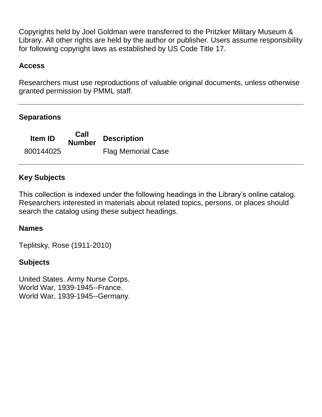Copyrights held by Joel Goldman were transferred to the Pritzker Military Museum & Library. All other rights are held by the author or publisher. Users assume responsibility for following copyright laws as established by US Code Title 17.

### **Access**

Researchers must use reproductions of valuable original documents, unless otherwise granted permission by PMML staff.

#### **Separations**

**Item ID Call Description** 800144025 Flag Memorial Case

#### **Key Subjects**

This collection is indexed under the following headings in the Library's online catalog. Researchers interested in materials about related topics, persons, or places should search the catalog using these subject headings.

#### **Names**

Teplitsky, Rose (1911-2010)

#### **Subjects**

United States. Army Nurse Corps. World War, 1939-1945--France. World War, 1939-1945--Germany.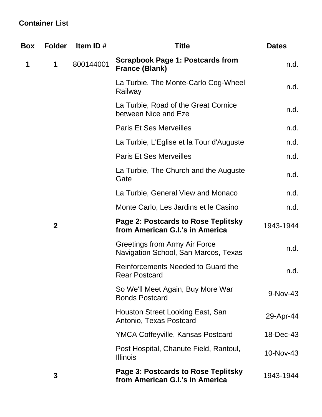## **Container List**

| Box | <b>Folder</b>  | Item ID#                                        | <b>Title</b>                                                           | <b>Dates</b> |
|-----|----------------|-------------------------------------------------|------------------------------------------------------------------------|--------------|
| 1   | 1              | 800144001                                       | <b>Scrapbook Page 1: Postcards from</b><br><b>France (Blank)</b>       | n.d.         |
|     |                | La Turbie, The Monte-Carlo Cog-Wheel<br>Railway | n.d.                                                                   |              |
|     |                |                                                 | La Turbie, Road of the Great Cornice<br>between Nice and Eze           | n.d.         |
|     |                |                                                 | <b>Paris Et Ses Merveilles</b>                                         | n.d.         |
|     |                |                                                 | La Turbie, L'Eglise et la Tour d'Auguste                               | n.d.         |
|     |                |                                                 | <b>Paris Et Ses Merveilles</b>                                         | n.d.         |
|     |                |                                                 | La Turbie, The Church and the Auguste<br>Gate                          | n.d.         |
|     |                |                                                 | La Turbie, General View and Monaco                                     | n.d.         |
|     |                |                                                 | Monte Carlo, Les Jardins et le Casino                                  | n.d.         |
|     | $\overline{2}$ |                                                 | Page 2: Postcards to Rose Teplitsky<br>from American G.I.'s in America | 1943-1944    |
|     |                |                                                 | Greetings from Army Air Force<br>Navigation School, San Marcos, Texas  | n.d.         |
|     |                |                                                 | Reinforcements Needed to Guard the<br><b>Rear Postcard</b>             | n.d.         |
|     |                |                                                 | So We'll Meet Again, Buy More War<br><b>Bonds Postcard</b>             | 9-Nov-43     |
|     |                |                                                 | Houston Street Looking East, San<br>Antonio, Texas Postcard            | 29-Apr-44    |
|     |                |                                                 | <b>YMCA Coffeyville, Kansas Postcard</b>                               | 18-Dec-43    |
|     |                |                                                 | Post Hospital, Chanute Field, Rantoul,<br><b>Illinois</b>              | 10-Nov-43    |
|     | 3              |                                                 | Page 3: Postcards to Rose Teplitsky<br>from American G.I.'s in America | 1943-1944    |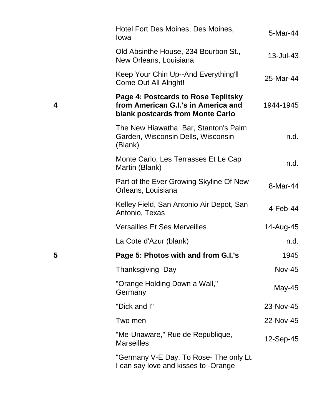|   | Hotel Fort Des Moines, Des Moines,<br>Iowa                                                                     | 5-Mar-44      |
|---|----------------------------------------------------------------------------------------------------------------|---------------|
|   | Old Absinthe House, 234 Bourbon St.,<br>New Orleans, Louisiana                                                 | 13-Jul-43     |
|   | Keep Your Chin Up--And Everything'll<br>Come Out All Alright!                                                  | 25-Mar-44     |
| 4 | Page 4: Postcards to Rose Teplitsky<br>from American G.I.'s in America and<br>blank postcards from Monte Carlo | 1944-1945     |
|   | The New Hiawatha Bar, Stanton's Palm<br>Garden, Wisconsin Dells, Wisconsin<br>(Blank)                          | n.d.          |
|   | Monte Carlo, Les Terrasses Et Le Cap<br>Martin (Blank)                                                         | n.d.          |
|   | Part of the Ever Growing Skyline Of New<br>Orleans, Louisiana                                                  | 8-Mar-44      |
|   | Kelley Field, San Antonio Air Depot, San<br>Antonio, Texas                                                     | $4$ -Feb-44   |
|   | <b>Versailles Et Ses Merveilles</b>                                                                            | 14-Aug-45     |
|   | La Cote d'Azur (blank)                                                                                         | n.d.          |
| 5 | Page 5: Photos with and from G.I.'s                                                                            | 1945          |
|   | Thanksgiving Day                                                                                               | <b>Nov-45</b> |
|   | "Orange Holding Down a Wall,"<br>Germany                                                                       | May-45        |
|   | "Dick and I"                                                                                                   | 23-Nov-45     |
|   | Two men                                                                                                        | 22-Nov-45     |
|   | "Me-Unaware," Rue de Republique,<br><b>Marseilles</b>                                                          | 12-Sep-45     |
|   | "Germany V-E Day. To Rose- The only Lt.<br>I can say love and kisses to -Orange                                |               |

**4**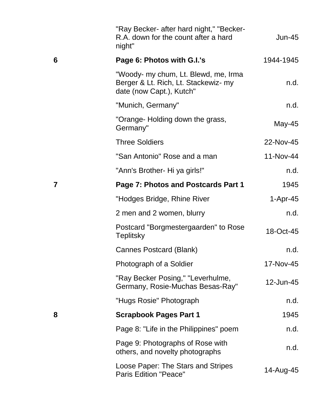|   | "Ray Becker- after hard night," "Becker-<br>R.A. down for the count after a hard<br>night"               | Jun-45     |
|---|----------------------------------------------------------------------------------------------------------|------------|
| 6 | Page 6: Photos with G.I.'s                                                                               | 1944-1945  |
|   | "Woody- my chum, Lt. Blewd, me, Irma<br>Berger & Lt. Rich, Lt. Stackewiz- my<br>date (now Capt.), Kutch" | n.d.       |
|   | "Munich, Germany"                                                                                        | n.d.       |
|   | "Orange- Holding down the grass,<br>Germany"                                                             | May-45     |
|   | <b>Three Soldiers</b>                                                                                    | 22-Nov-45  |
|   | "San Antonio" Rose and a man                                                                             | 11-Nov-44  |
|   | "Ann's Brother- Hi ya girls!"                                                                            | n.d.       |
| 7 | Page 7: Photos and Postcards Part 1                                                                      | 1945       |
|   | "Hodges Bridge, Rhine River                                                                              | $1-Apr-45$ |
|   | 2 men and 2 women, blurry                                                                                | n.d.       |
|   | Postcard "Borgmestergaarden" to Rose<br><b>Teplitsky</b>                                                 | 18-Oct-45  |
|   | Cannes Postcard (Blank)                                                                                  | n.d.       |
|   | Photograph of a Soldier                                                                                  | 17-Nov-45  |
|   | "Ray Becker Posing," "Leverhulme,<br>Germany, Rosie-Muchas Besas-Ray"                                    | 12-Jun-45  |
|   | "Hugs Rosie" Photograph                                                                                  | n.d.       |
| 8 | <b>Scrapbook Pages Part 1</b>                                                                            | 1945       |
|   | Page 8: "Life in the Philippines" poem                                                                   | n.d.       |
|   | Page 9: Photographs of Rose with<br>others, and novelty photographs                                      | n.d.       |
|   | Loose Paper: The Stars and Stripes<br><b>Paris Edition "Peace"</b>                                       | 14-Aug-45  |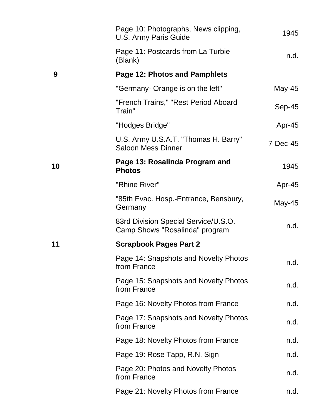|    | Page 10: Photographs, News clipping,<br>U.S. Army Paris Guide          | 1945       |
|----|------------------------------------------------------------------------|------------|
|    | Page 11: Postcards from La Turbie<br>(Blank)                           | n.d.       |
| 9  | Page 12: Photos and Pamphlets                                          |            |
|    | "Germany- Orange is on the left"                                       | May-45     |
|    | "French Trains," "Rest Period Aboard<br>Train"                         | $Sep-45$   |
|    | "Hodges Bridge"                                                        | Apr-45     |
|    | U.S. Army U.S.A.T. "Thomas H. Barry"<br><b>Saloon Mess Dinner</b>      | $7-Dec-45$ |
| 10 | Page 13: Rosalinda Program and<br><b>Photos</b>                        | 1945       |
|    | "Rhine River"                                                          | Apr-45     |
|    | "85th Evac. Hosp.-Entrance, Bensbury,<br>Germany                       | May-45     |
|    | 83rd Division Special Service/U.S.O.<br>Camp Shows "Rosalinda" program | n.d.       |
| 11 | <b>Scrapbook Pages Part 2</b>                                          |            |
|    | Page 14: Snapshots and Novelty Photos<br>from France                   | n.d.       |
|    | Page 15: Snapshots and Novelty Photos<br>from France                   | n.d.       |
|    | Page 16: Novelty Photos from France                                    | n.d.       |
|    | Page 17: Snapshots and Novelty Photos<br>from France                   | n.d.       |
|    | Page 18: Novelty Photos from France                                    | n.d.       |
|    | Page 19: Rose Tapp, R.N. Sign                                          | n.d.       |
|    | Page 20: Photos and Novelty Photos<br>from France                      | n.d.       |
|    | Page 21: Novelty Photos from France                                    | n.d.       |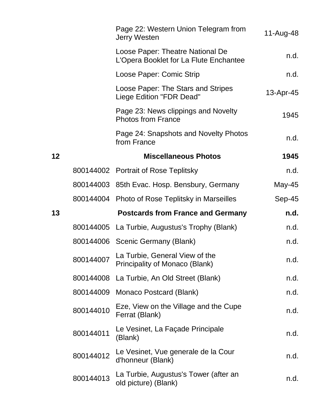|    |           | Page 22: Western Union Telegram from<br><b>Jerry Westen</b>                | 11-Aug-48 |
|----|-----------|----------------------------------------------------------------------------|-----------|
|    |           | Loose Paper: Theatre National De<br>L'Opera Booklet for La Flute Enchantee | n.d.      |
|    |           | Loose Paper: Comic Strip                                                   | n.d.      |
|    |           | Loose Paper: The Stars and Stripes<br>Liege Edition "FDR Dead"             | 13-Apr-45 |
|    |           | Page 23: News clippings and Novelty<br><b>Photos from France</b>           | 1945      |
|    |           | Page 24: Snapshots and Novelty Photos<br>from France                       | n.d.      |
| 12 |           | <b>Miscellaneous Photos</b>                                                | 1945      |
|    |           | 800144002 Portrait of Rose Teplitsky                                       | n.d.      |
|    |           | 800144003 85th Evac. Hosp. Bensbury, Germany                               | May-45    |
|    |           | 800144004 Photo of Rose Teplitsky in Marseilles                            | Sep-45    |
| 13 |           | <b>Postcards from France and Germany</b>                                   | n.d.      |
|    |           | 800144005 La Turbie, Augustus's Trophy (Blank)                             | n.d.      |
|    |           | 800144006 Scenic Germany (Blank)                                           | n.d.      |
|    | 800144007 | La Turbie, General View of the<br><b>Principality of Monaco (Blank)</b>    | n.d.      |
|    | 800144008 | La Turbie, An Old Street (Blank)                                           | n.d.      |
|    | 800144009 | Monaco Postcard (Blank)                                                    | n.d.      |
|    | 800144010 | Eze, View on the Village and the Cupe<br>Ferrat (Blank)                    | n.d.      |
|    | 800144011 | Le Vesinet, La Façade Principale<br>(Blank)                                | n.d.      |
|    | 800144012 | Le Vesinet, Vue generale de la Cour<br>d'honneur (Blank)                   | n.d.      |
|    | 800144013 | La Turbie, Augustus's Tower (after an<br>old picture) (Blank)              | n.d.      |